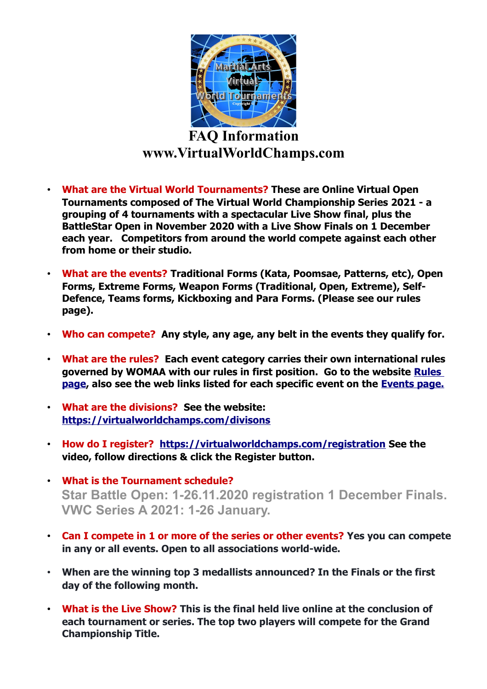

## **FAQ Information www.VirtualWorldChamps.com**

- **What are the Virtual World Tournaments? These are Online Virtual Open Tournaments composed of The Virtual World Championship Series 2021 - a grouping of 4 tournaments with a spectacular Live Show final, plus the BattleStar Open in November 2020 with a Live Show Finals on 1 December each year. Competitors from around the world compete against each other from home or their studio.**
- **What are the events? Traditional Forms (Kata, Poomsae, Patterns, etc), Open Forms, Extreme Forms, Weapon Forms (Traditional, Open, Extreme), Self-Defence, Teams forms, Kickboxing and Para Forms. (Please see our rules page).**
- **Who can compete? Any style, any age, any belt in the events they qualify for.**
- **What are the rules? Each event category carries their own international rules governed by WOMAA with our rules in first position. Go to the website [Rules](https://virtualworldchamps.com/rules)  [page,](https://virtualworldchamps.com/rules) also see the web links listed for each specific event on the [Events page.](https://virtualworldchamps.com/events)**
- **What are the divisions? See the website: <https://virtualworldchamps.com/divisons>**
- **How do I register? <https://virtualworldchamps.com/registration>See the video, follow directions & click the Register button.**
- **What is the Tournament schedule? Star Battle Open: 1-26.11.2020 registration 1 December Finals. VWC Series A 2021: 1-26 January.**
- **Can I compete in 1 or more of the series or other events? Yes you can compete in any or all events. Open to all associations world-wide.**
- **When are the winning top 3 medallists announced? In the Finals or the first day of the following month.**
- **What is the Live Show? This is the final held live online at the conclusion of each tournament or series. The top two players will compete for the Grand Championship Title.**